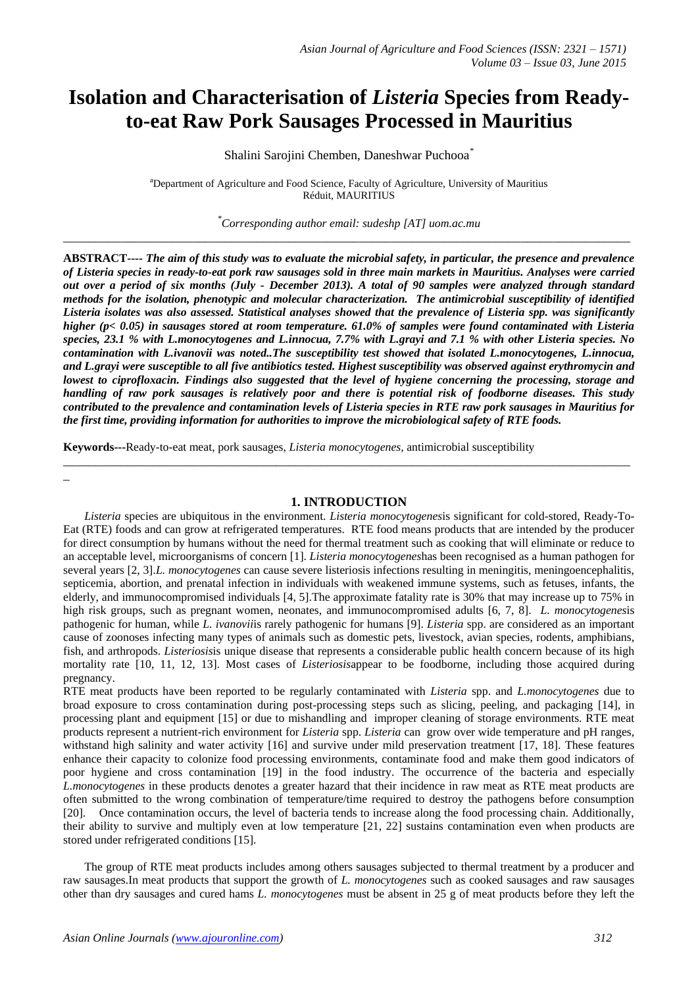# **Isolation and Characterisation of** *Listeria* **Species from Readyto-eat Raw Pork Sausages Processed in Mauritius**

Shalini Sarojini Chemben, Daneshwar Puchooa*\**

<sup>a</sup>Department of Agriculture and Food Science, Faculty of Agriculture, University of Mauritius Réduit, MAURITIUS

*\*Corresponding author email: sudeshp [AT] uom.ac.mu* **\_\_\_\_\_\_\_\_\_\_\_\_\_\_\_\_\_\_\_\_\_\_\_\_\_\_\_\_\_\_\_\_\_\_\_\_\_\_\_\_\_\_\_\_\_\_\_\_\_\_\_\_\_\_\_\_\_\_\_\_\_\_\_\_\_\_\_\_\_\_\_\_\_\_\_\_\_\_\_\_\_\_\_\_\_\_\_\_**

**ABSTRACT----** *The aim of this study was to evaluate the microbial safety, in particular, the presence and prevalence of Listeria species in ready-to-eat pork raw sausages sold in three main markets in Mauritius. Analyses were carried out over a period of six months (July - December 2013). A total of 90 samples were analyzed through standard methods for the isolation, phenotypic and molecular characterization. The antimicrobial susceptibility of identified Listeria isolates was also assessed. Statistical analyses showed that the prevalence of Listeria spp. was significantly higher (p< 0.05) in sausages stored at room temperature. 61.0% of samples were found contaminated with Listeria species, 23.1 % with L.monocytogenes and L.innocua, 7.7% with L.grayi and 7.1 % with other Listeria species. No contamination with L.ivanovii was noted..The susceptibility test showed that isolated L.monocytogenes, L.innocua, and L.grayi were susceptible to all five antibiotics tested. Highest susceptibility was observed against erythromycin and lowest to ciprofloxacin. Findings also suggested that the level of hygiene concerning the processing, storage and handling of raw pork sausages is relatively poor and there is potential risk of foodborne diseases. This study contributed to the prevalence and contamination levels of Listeria species in RTE raw pork sausages in Mauritius for the first time, providing information for authorities to improve the microbiological safety of RTE foods.* 

**Keywords---**Ready-to-eat meat, pork sausages, *Listeria monocytogenes,* antimicrobial susceptibility

**\_**

#### **1. INTRODUCTION**

**\_\_\_\_\_\_\_\_\_\_\_\_\_\_\_\_\_\_\_\_\_\_\_\_\_\_\_\_\_\_\_\_\_\_\_\_\_\_\_\_\_\_\_\_\_\_\_\_\_\_\_\_\_\_\_\_\_\_\_\_\_\_\_\_\_\_\_\_\_\_\_\_\_\_\_\_\_\_\_\_\_\_\_\_\_\_\_\_**

*Listeria* species are ubiquitous in the environment. *Listeria monocytogenes*is significant for cold-stored, Ready-To-Eat (RTE) foods and can grow at refrigerated temperatures. RTE food means products that are intended by the producer for direct consumption by humans without the need for thermal treatment such as cooking that will eliminate or reduce to an acceptable level, microorganisms of concern [1]. *Listeria monocytogenes*has been recognised as a human pathogen for several years [2, 3].*L. monocytogenes* can cause severe listeriosis infections resulting in meningitis, meningoencephalitis, septicemia, abortion, and prenatal infection in individuals with weakened immune systems, such as fetuses, infants, the elderly, and immunocompromised individuals [4, 5].The approximate fatality rate is 30% that may increase up to 75% in high risk groups, such as pregnant women, neonates, and immunocompromised adults [6, 7, 8]. *L. monocytogenes*is pathogenic for human, while *L. ivanovii*is rarely pathogenic for humans [9]. *Listeria* spp. are considered as an important cause of zoonoses infecting many types of animals such as domestic pets, livestock, avian species, rodents, amphibians, fish, and arthropods. *Listeriosis*is unique disease that represents a considerable public health concern because of its high mortality rate [10, 11, 12, 13]. Most cases of *Listeriosis*appear to be foodborne, including those acquired during pregnancy.

RTE meat products have been reported to be regularly contaminated with *Listeria* spp. and *L.monocytogenes* due to broad exposure to cross contamination during post-processing steps such as slicing, peeling, and packaging [14], in processing plant and equipment [15] or due to mishandling and improper cleaning of storage environments. RTE meat products represent a nutrient-rich environment for *Listeria* spp. *Listeria* can grow over wide temperature and pH ranges, withstand high salinity and water activity [16] and survive under mild preservation treatment [17, 18]. These features enhance their capacity to colonize food processing environments, contaminate food and make them good indicators of poor hygiene and cross contamination [19] in the food industry. The occurrence of the bacteria and especially *L.monocytogenes* in these products denotes a greater hazard that their incidence in raw meat as RTE meat products are often submitted to the wrong combination of temperature/time required to destroy the pathogens before consumption [20]. Once contamination occurs, the level of bacteria tends to increase along the food processing chain. Additionally, their ability to survive and multiply even at low temperature [21, 22] sustains contamination even when products are stored under refrigerated conditions [15].

The group of RTE meat products includes among others sausages subjected to thermal treatment by a producer and raw sausages.In meat products that support the growth of *L. monocytogenes* such as cooked sausages and raw sausages other than dry sausages and cured hams *L. monocytogenes* must be absent in 25 g of meat products before they left the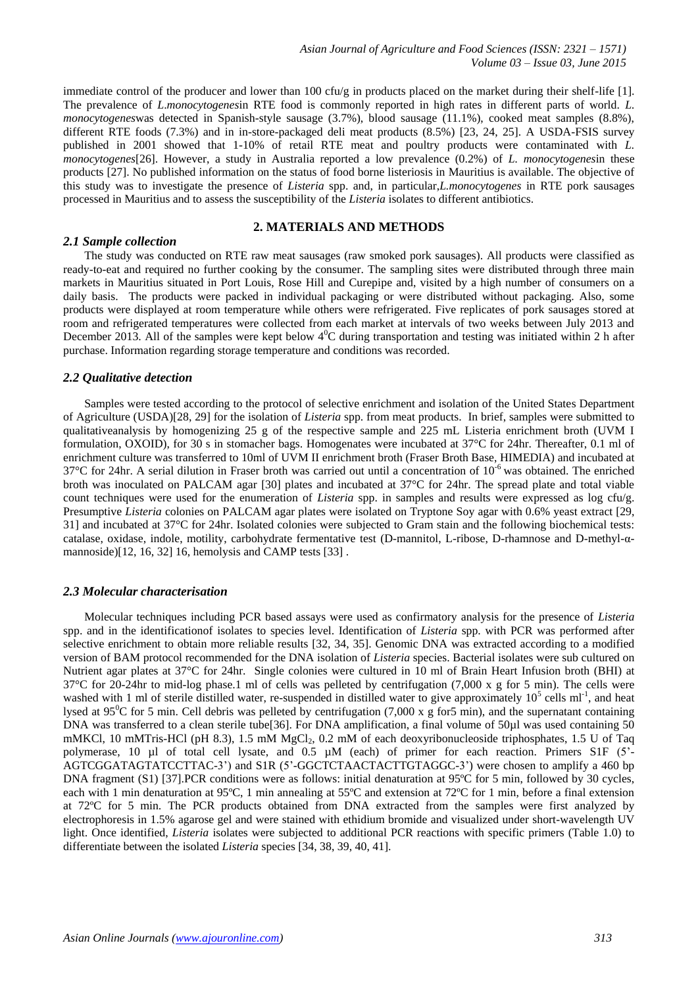immediate control of the producer and lower than 100 cfu/g in products placed on the market during their shelf-life [1]. The prevalence of *L*.*monocytogenes*in RTE food is commonly reported in high rates in different parts of world. *L. monocytogenes*was detected in Spanish-style sausage (3.7%), blood sausage (11.1%), cooked meat samples (8.8%), different RTE foods (7.3%) and in in-store-packaged deli meat products (8.5%) [23, 24, 25]. A USDA-FSIS survey published in 2001 showed that 1-10% of retail RTE meat and poultry products were contaminated with *L. monocytogenes*[26]. However, a study in Australia reported a low prevalence (0.2%) of *L. monocytogenes*in these products [27]. No published information on the status of food borne listeriosis in Mauritius is available. The objective of this study was to investigate the presence of *Listeria* spp. and, in particular,*L.monocytogenes* in RTE pork sausages processed in Mauritius and to assess the susceptibility of the *Listeria* isolates to different antibiotics.

### **2. MATERIALS AND METHODS**

#### *2.1 Sample collection*

The study was conducted on RTE raw meat sausages (raw smoked pork sausages). All products were classified as ready-to-eat and required no further cooking by the consumer. The sampling sites were distributed through three main markets in Mauritius situated in Port Louis, Rose Hill and Curepipe and, visited by a high number of consumers on a daily basis. The products were packed in individual packaging or were distributed without packaging. Also, some products were displayed at room temperature while others were refrigerated. Five replicates of pork sausages stored at room and refrigerated temperatures were collected from each market at intervals of two weeks between July 2013 and December 2013. All of the samples were kept below  $4^0C$  during transportation and testing was initiated within 2 h after purchase. Information regarding storage temperature and conditions was recorded.

#### *2.2 Qualitative detection*

Samples were tested according to the protocol of selective enrichment and isolation of the United States Department of Agriculture (USDA)[28, 29] for the isolation of *Listeria* spp. from meat products. In brief, samples were submitted to qualitativeanalysis by homogenizing 25 g of the respective sample and 225 mL Listeria enrichment broth (UVM I formulation, OXOID), for 30 s in stomacher bags. Homogenates were incubated at 37°C for 24hr. Thereafter, 0.1 ml of enrichment culture was transferred to 10ml of UVM II enrichment broth (Fraser Broth Base, HIMEDIA) and incubated at  $37^{\circ}$ C for 24hr. A serial dilution in Fraser broth was carried out until a concentration of  $10^{-6}$  was obtained. The enriched broth was inoculated on PALCAM agar [30] plates and incubated at 37°C for 24hr. The spread plate and total viable count techniques were used for the enumeration of *Listeria* spp. in samples and results were expressed as log cfu/g. Presumptive *Listeria* colonies on PALCAM agar plates were isolated on Tryptone Soy agar with 0.6% yeast extract [29, 31] and incubated at 37°C for 24hr. Isolated colonies were subjected to Gram stain and the following biochemical tests: catalase, oxidase, indole, motility, carbohydrate fermentative test (D-mannitol, L-ribose, D-rhamnose and D-methyl-αmannoside)[12, 16, 32] 16, hemolysis and CAMP tests [33] .

#### *2.3 Molecular characterisation*

Molecular techniques including PCR based assays were used as confirmatory analysis for the presence of *Listeria* spp. and in the identificationof isolates to species level. Identification of *Listeria* spp. with PCR was performed after selective enrichment to obtain more reliable results [32, 34, 35]. Genomic DNA was extracted according to a modified version of BAM protocol recommended for the DNA isolation of *Listeria* species. Bacterial isolates were sub cultured on Nutrient agar plates at 37°C for 24hr. Single colonies were cultured in 10 ml of Brain Heart Infusion broth (BHI) at  $37^{\circ}$ C for 20-24hr to mid-log phase.1 ml of cells was pelleted by centrifugation (7,000 x g for 5 min). The cells were washed with 1 ml of sterile distilled water, re-suspended in distilled water to give approximately  $10^5$  cells ml<sup>-1</sup>, and heat lysed at 95<sup>o</sup>C for 5 min. Cell debris was pelleted by centrifugation (7,000 x g for5 min), and the supernatant containing DNA was transferred to a clean sterile tube<sup>[36]</sup>. For DNA amplification, a final volume of 50 $\mu$ l was used containing 50 mMKCl, 10 mMTris-HCl (pH 8.3), 1.5 mM MgCl<sub>2</sub>, 0.2 mM of each deoxyribonucleoside triphosphates, 1.5 U of Taq polymerase, 10 µl of total cell lysate, and 0.5 µM (each) of primer for each reaction. Primers S1F (5<sup>2</sup>-AGTCGGATAGTATCCTTAC-3') and S1R (5'-GGCTCTAACTACTTGTAGGC-3') were chosen to amplify a 460 bp DNA fragment (S1) [37].PCR conditions were as follows: initial denaturation at 95°C for 5 min, followed by 30 cycles, each with 1 min denaturation at 95ºC, 1 min annealing at 55ºC and extension at 72ºC for 1 min, before a final extension at 72ºC for 5 min. The PCR products obtained from DNA extracted from the samples were first analyzed by electrophoresis in 1.5% agarose gel and were stained with ethidium bromide and visualized under short-wavelength UV light. Once identified, *Listeria* isolates were subjected to additional PCR reactions with specific primers (Table 1.0) to differentiate between the isolated *Listeria* species [34, 38, 39, 40, 41].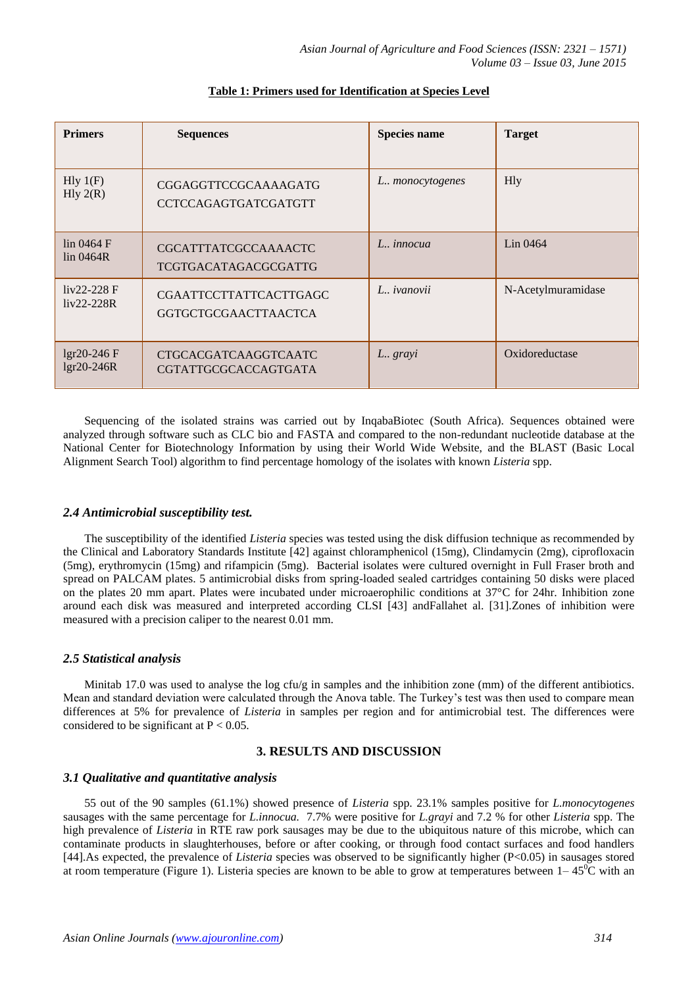| <b>Primers</b>                | <b>Sequences</b>                                             | <b>Species name</b> | <b>Target</b>      |
|-------------------------------|--------------------------------------------------------------|---------------------|--------------------|
| Hly 1(F)<br>Hly $2(R)$        | <b>CGGAGGTTCCGCAAAAGATG</b><br><b>CCTCCAGAGTGATCGATGTT</b>   | L. monocytogenes    | <b>H</b> ly        |
| $\ln 0464$ F<br>$\ln 0464R$   | <b>CGCATTTATCGCCAAAACTC</b><br>TCGTGACATAGACGCGATTG          | L., <i>innocua</i>  | Lin 0464           |
| $liv22-228 F$<br>$liv22-228R$ | <b>CGAATTCCTTATTCACTTGAGC</b><br><b>GGTGCTGCGAACTTAACTCA</b> | L., <i>ivanovii</i> | N-Acetylmuramidase |
| lgr20-246 F<br>lgr20-246R     | <b>CTGCACGATCAAGGTCAATC</b><br><b>CGTATTGCGCACCAGTGATA</b>   | L. grayi            | Oxidoreductase     |

# **Table 1: Primers used for Identification at Species Level**

Sequencing of the isolated strains was carried out by InqabaBiotec (South Africa). Sequences obtained were analyzed through software such as CLC bio and FASTA and compared to the non-redundant nucleotide database at the National Center for Biotechnology Information by using their World Wide Website, and the BLAST (Basic Local Alignment Search Tool) algorithm to find percentage homology of the isolates with known *Listeria* spp.

# *2.4 Antimicrobial susceptibility test.*

The susceptibility of the identified *Listeria* species was tested using the disk diffusion technique as recommended by the Clinical and Laboratory Standards Institute [42] against chloramphenicol (15mg), Clindamycin (2mg), ciprofloxacin (5mg), erythromycin (15mg) and rifampicin (5mg). Bacterial isolates were cultured overnight in Full Fraser broth and spread on PALCAM plates. 5 antimicrobial disks from spring-loaded sealed cartridges containing 50 disks were placed on the plates 20 mm apart. Plates were incubated under microaerophilic conditions at 37°C for 24hr. Inhibition zone around each disk was measured and interpreted according CLSI [43] andFallahet al. [31].Zones of inhibition were measured with a precision caliper to the nearest 0.01 mm.

# *2.5 Statistical analysis*

Minitab 17.0 was used to analyse the log cfu/g in samples and the inhibition zone (mm) of the different antibiotics. Mean and standard deviation were calculated through the Anova table. The Turkey's test was then used to compare mean differences at 5% for prevalence of *Listeria* in samples per region and for antimicrobial test. The differences were considered to be significant at  $P < 0.05$ .

# **3. RESULTS AND DISCUSSION**

# *3.1 Qualitative and quantitative analysis*

55 out of the 90 samples (61.1%) showed presence of *Listeria* spp. 23.1% samples positive for *L.monocytogenes* sausages with the same percentage for *L.innocua.* 7.7% were positive for *L.grayi* and 7.2 % for other *Listeria* spp. The high prevalence of *Listeria* in RTE raw pork sausages may be due to the ubiquitous nature of this microbe, which can contaminate products in slaughterhouses, before or after cooking, or through food contact surfaces and food handlers [44].As expected, the prevalence of *Listeria* species was observed to be significantly higher (P<0.05) in sausages stored at room temperature (Figure 1). Listeria species are known to be able to grow at temperatures between  $1-45^{\circ}\text{C}$  with an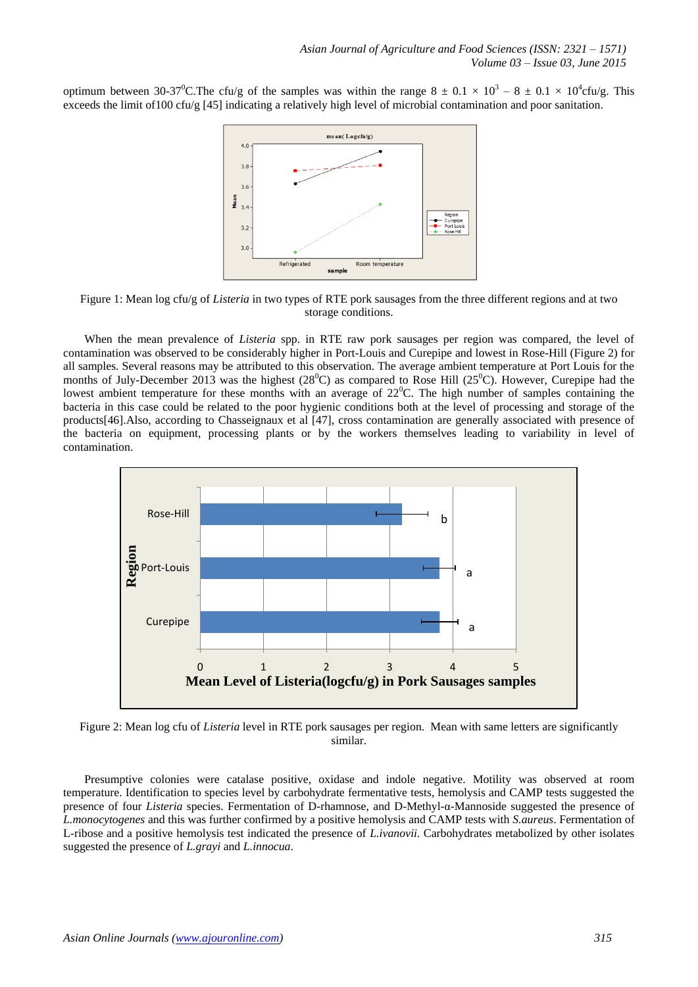optimum between 30-37<sup>0</sup>C. The cfu/g of the samples was within the range  $8 \pm 0.1 \times 10^3 - 8 \pm 0.1 \times 10^4$ cfu/g. This exceeds the limit of100 cfu/g [45] indicating a relatively high level of microbial contamination and poor sanitation.



Figure 1: Mean log cfu/g of *Listeria* in two types of RTE pork sausages from the three different regions and at two storage conditions.

When the mean prevalence of *Listeria* spp. in RTE raw pork sausages per region was compared, the level of contamination was observed to be considerably higher in Port-Louis and Curepipe and lowest in Rose-Hill (Figure 2) for all samples. Several reasons may be attributed to this observation. The average ambient temperature at Port Louis for the months of July-December 2013 was the highest  $(28^{\circ}C)$  as compared to Rose Hill  $(25^{\circ}C)$ . However, Curepipe had the lowest ambient temperature for these months with an average of  $22^{\circ}$ C. The high number of samples containing the bacteria in this case could be related to the poor hygienic conditions both at the level of processing and storage of the products[46].Also, according to Chasseignaux et al [47], cross contamination are generally associated with presence of the bacteria on equipment, processing plants or by the workers themselves leading to variability in level of contamination.



Figure 2: Mean log cfu of *Listeria* level in RTE pork sausages per region. Mean with same letters are significantly similar.

Presumptive colonies were catalase positive, oxidase and indole negative. Motility was observed at room temperature. Identification to species level by carbohydrate fermentative tests, hemolysis and CAMP tests suggested the presence of four *Listeria* species. Fermentation of D-rhamnose, and D-Methyl-α-Mannoside suggested the presence of *L.monocytogenes* and this was further confirmed by a positive hemolysis and CAMP tests with *S.aureus*. Fermentation of L-ribose and a positive hemolysis test indicated the presence of *L.ivanovii*. Carbohydrates metabolized by other isolates suggested the presence of *L.grayi* and *L.innocua*.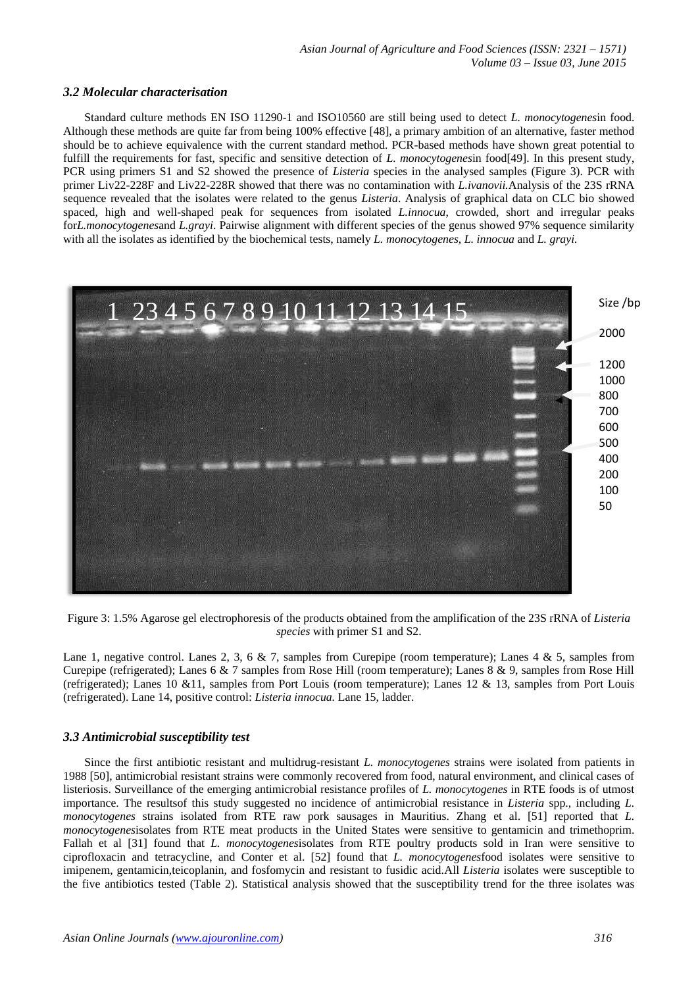## *3.2 Molecular characterisation*

Standard culture methods EN ISO 11290-1 and ISO10560 are still being used to detect *L. monocytogenes*in food. Although these methods are quite far from being 100% effective [48], a primary ambition of an alternative, faster method should be to achieve equivalence with the current standard method. PCR-based methods have shown great potential to fulfill the requirements for fast, specific and sensitive detection of *L. monocytogenes*in food[49]. In this present study, PCR using primers S1 and S2 showed the presence of *Listeria* species in the analysed samples (Figure 3). PCR with primer Liv22-228F and Liv22-228R showed that there was no contamination with *L.ivanovii.*Analysis of the 23S rRNA sequence revealed that the isolates were related to the genus *Listeria*. Analysis of graphical data on CLC bio showed spaced, high and well-shaped peak for sequences from isolated *L.innocua*, crowded, short and irregular peaks for*L.monocytogenes*and *L.grayi*. Pairwise alignment with different species of the genus showed 97% sequence similarity with all the isolates as identified by the biochemical tests, namely *L. monocytogenes, L. innocua* and *L. grayi.*



Figure 3: 1.5% Agarose gel electrophoresis of the products obtained from the amplification of the 23S rRNA of *Listeria species* with primer S1 and S2.

Lane 1, negative control. Lanes 2, 3, 6 & 7, samples from Curepipe (room temperature); Lanes 4 & 5, samples from Curepipe (refrigerated); Lanes 6 & 7 samples from Rose Hill (room temperature); Lanes 8 & 9, samples from Rose Hill (refrigerated); Lanes 10 &11, samples from Port Louis (room temperature); Lanes 12 & 13, samples from Port Louis (refrigerated). Lane 14, positive control: *Listeria innocua.* Lane 15, ladder.

# *3.3 Antimicrobial susceptibility test*

Since the first antibiotic resistant and multidrug-resistant *L. monocytogenes* strains were isolated from patients in 1988 [50], antimicrobial resistant strains were commonly recovered from food, natural environment, and clinical cases of listeriosis. Surveillance of the emerging antimicrobial resistance profiles of *L. monocytogenes* in RTE foods is of utmost importance. The resultsof this study suggested no incidence of antimicrobial resistance in *Listeria* spp., including *L. monocytogenes* strains isolated from RTE raw pork sausages in Mauritius. Zhang et al. [51] reported that *L. monocytogenes*isolates from RTE meat products in the United States were sensitive to gentamicin and trimethoprim. Fallah et al [31] found that *L. monocytogenes*isolates from RTE poultry products sold in Iran were sensitive to ciprofloxacin and tetracycline, and Conter et al. [52] found that *L. monocytogenes*food isolates were sensitive to imipenem, gentamicin,teicoplanin, and fosfomycin and resistant to fusidic acid.All *Listeria* isolates were susceptible to the five antibiotics tested (Table 2). Statistical analysis showed that the susceptibility trend for the three isolates was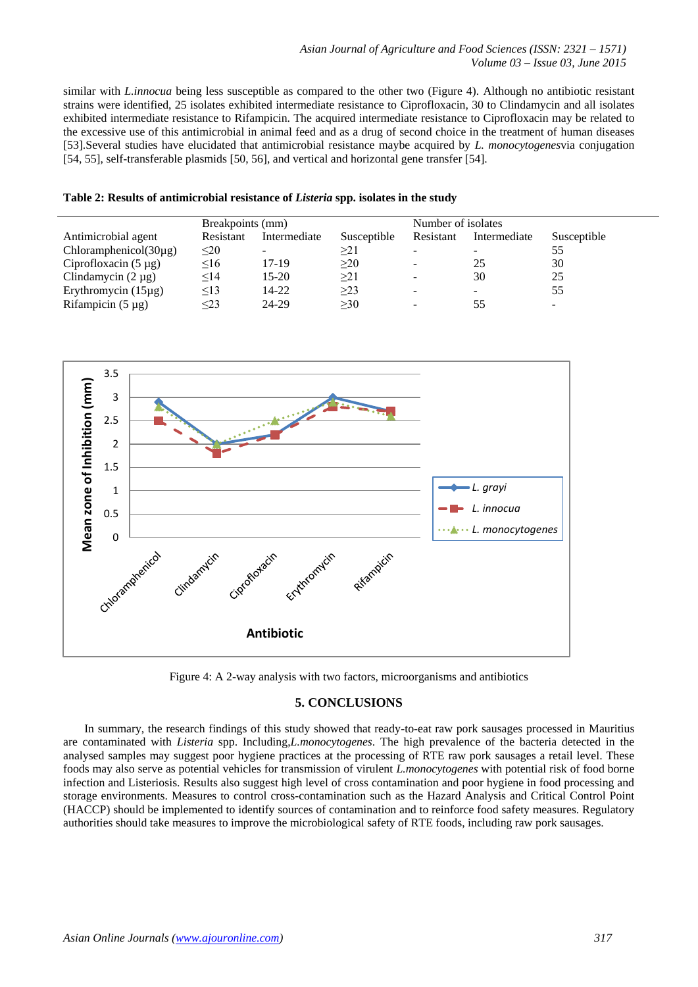similar with *L.innocua* being less susceptible as compared to the other two (Figure 4). Although no antibiotic resistant strains were identified, 25 isolates exhibited intermediate resistance to Ciprofloxacin, 30 to Clindamycin and all isolates exhibited intermediate resistance to Rifampicin. The acquired intermediate resistance to Ciprofloxacin may be related to the excessive use of this antimicrobial in animal feed and as a drug of second choice in the treatment of human diseases [53].Several studies have elucidated that antimicrobial resistance maybe acquired by *L. monocytogenes*via conjugation [54, 55], self-transferable plasmids [50, 56], and vertical and horizontal gene transfer [54].

|                                    | Breakpoints (mm) |              |             | Number of isolates       |              |             |
|------------------------------------|------------------|--------------|-------------|--------------------------|--------------|-------------|
| Antimicrobial agent                | Resistant        | Intermediate | Susceptible | Resistant                | Intermediate | Susceptible |
| Chloramphenicol(30 <sub>µg</sub> ) | $\leq$ 20        |              | >21         | -                        |              | 55          |
| Ciprofloxacin $(5 \mu g)$          | $\leq 16$        | 17-19        | $\geq$ 20   | $\overline{\phantom{a}}$ | 25           | 30          |
| Clindamycin $(2 \mu g)$            | $\leq$ 14        | $15-20$      | $\geq$ 21   | $\overline{\phantom{a}}$ | 30           | 25          |
| Erythromycin $(15\mu g)$           | $\leq$ 13        | 14-22        | >23         | -                        | -            | 55          |
| Rifampicin $(5 \mu g)$             | ≤23              | 24-29        | >30         | $\sim$                   | 55           | -           |





# **5. CONCLUSIONS**

In summary, the research findings of this study showed that ready-to-eat raw pork sausages processed in Mauritius are contaminated with *Listeria* spp. Including,*L.monocytogenes*. The high prevalence of the bacteria detected in the analysed samples may suggest poor hygiene practices at the processing of RTE raw pork sausages a retail level. These foods may also serve as potential vehicles for transmission of virulent *L.monocytogenes* with potential risk of food borne infection and Listeriosis. Results also suggest high level of cross contamination and poor hygiene in food processing and storage environments. Measures to control cross-contamination such as the Hazard Analysis and Critical Control Point (HACCP) should be implemented to identify sources of contamination and to reinforce food safety measures. Regulatory authorities should take measures to improve the microbiological safety of RTE foods, including raw pork sausages.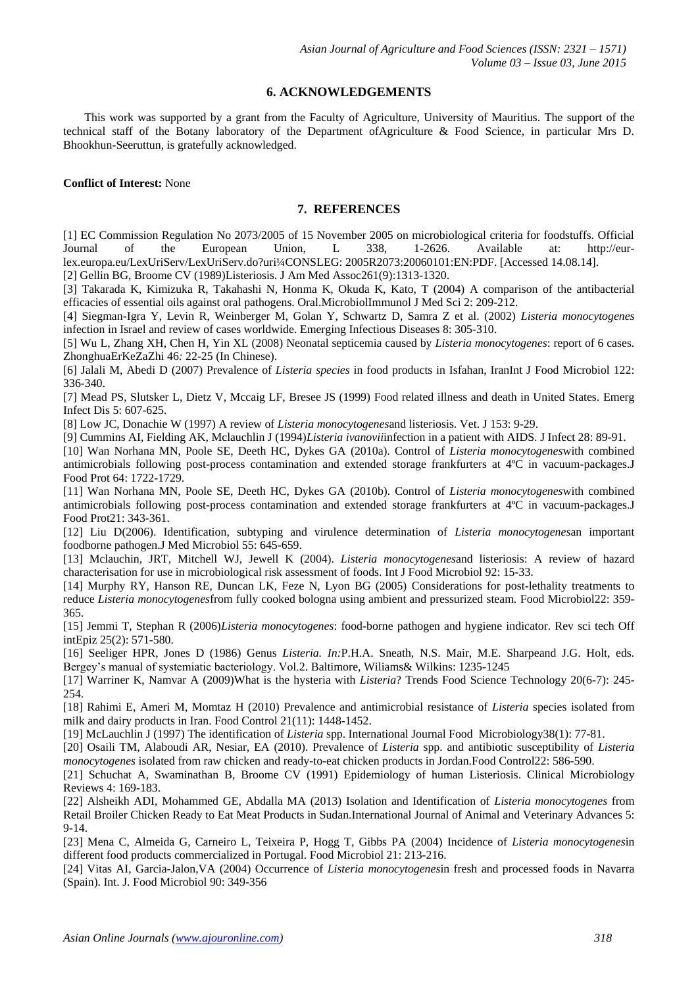# **6. ACKNOWLEDGEMENTS**

This work was supported by a grant from the Faculty of Agriculture, University of Mauritius. The support of the technical staff of the Botany laboratory of the Department ofAgriculture & Food Science, in particular Mrs D. Bhookhun-Seeruttun, is gratefully acknowledged.

# **Conflict of Interest:** None

# **7. REFERENCES**

[1] EC Commission Regulation No 2073/2005 of 15 November 2005 on microbiological criteria for foodstuffs. Official Journal of the European Union, L 338, 1-2626. Available at: http://eurlex.europa.eu/LexUriServ/LexUriServ.do?uri¼CONSLEG: 2005R2073:20060101:EN:PDF. [Accessed 14.08.14].

[2] Gellin BG, Broome CV (1989)Listeriosis. J Am Med Assoc261(9):1313-1320.

[3] Takarada K, Kimizuka R, Takahashi N, Honma K, Okuda K, Kato, T (2004) A comparison of the antibacterial efficacies of essential oils against oral pathogens. Oral.MicrobiolImmunol J Med Sci 2: 209-212.

[4] Siegman-Igra Y, Levin R, Weinberger M, Golan Y, Schwartz D, Samra Z et al. (2002) *Listeria monocytogenes* infection in Israel and review of cases worldwide. Emerging Infectious Diseases 8: 305-310.

[5] Wu L, Zhang XH, Chen H, Yin XL (2008) Neonatal septicemia caused by *Listeria monocytogenes*: report of 6 cases. ZhonghuaErKeZaZhi 46*:* 22-25 (In Chinese).

[6] Jalali M, Abedi D (2007) Prevalence of *Listeria species* in food products in Isfahan, IranInt J Food Microbiol 122: 336-340.

[7] Mead PS, Slutsker L, Dietz V, Mccaig LF, Bresee JS (1999) Food related illness and death in United States. Emerg Infect Dis 5: 607-625.

[8] Low JC, Donachie W (1997) A review of *Listeria monocytogenes*and listeriosis. Vet. J 153: 9-29.

[9] Cummins AI, Fielding AK, Mclauchlin J (1994)*Listeria ivanovii*infection in a patient with AIDS. J Infect 28: 89-91.

[10] Wan Norhana MN, Poole SE, Deeth HC, Dykes GA (2010a). Control of *Listeria monocytogenes*with combined antimicrobials following post-process contamination and extended storage frankfurters at 4ºC in vacuum-packages.J Food Prot 64: 1722-1729.

[11] Wan Norhana MN, Poole SE, Deeth HC, Dykes GA (2010b). Control of *Listeria monocytogenes*with combined antimicrobials following post-process contamination and extended storage frankfurters at 4ºC in vacuum-packages.J Food Prot21: 343-361.

[12] Liu D(2006). Identification, subtyping and virulence determination of *Listeria monocytogenes*an important foodborne pathogen.J Med Microbiol 55: 645-659.

[13] Mclauchin, JRT, Mitchell WJ, Jewell K (2004). *Listeria monocytogenes*and listeriosis: A review of hazard characterisation for use in microbiological risk assessment of foods. Int J Food Microbiol 92: 15-33.

[14] Murphy RY, Hanson RE, Duncan LK, Feze N, Lyon BG (2005) Considerations for post-lethality treatments to reduce *Listeria monocytogenes*from fully cooked bologna using ambient and pressurized steam. Food Microbiol22: 359- 365.

[15] Jemmi T, Stephan R (2006)*Listeria monocytogenes*: food-borne pathogen and hygiene indicator. Rev sci tech Off intEpiz 25(2): 571-580.

[16] Seeliger HPR, Jones D (1986) Genus *Listeria. In:*P.H.A. Sneath, N.S. Mair, M.E. Sharpeand J.G. Holt, eds*.*  Bergey's manual of systemiatic bacteriology. Vol.2. Baltimore, Wiliams& Wilkins: 1235-1245

[17] Warriner K, Namvar A (2009)What is the hysteria with *Listeria*? Trends Food Science Technology 20(6-7): 245- 254.

[18] Rahimi E, Ameri M, Momtaz H (2010) Prevalence and antimicrobial resistance of *Listeria* species isolated from milk and dairy products in Iran. Food Control 21(11): 1448-1452.

[19] McLauchlin J (1997) The identification of *Listeria* spp. International Journal Food Microbiology38(1): 77-81.

[20] Osaili TM, Alaboudi AR, Nesiar, EA (2010). Prevalence of *Listeria* spp. and antibiotic susceptibility of *Listeria monocytogenes* isolated from raw chicken and ready-to-eat chicken products in Jordan.Food Control22: 586-590.

[21] Schuchat A, Swaminathan B, Broome CV (1991) Epidemiology of human Listeriosis. Clinical Microbiology Reviews 4: 169-183.

[22] Alsheikh ADI, Mohammed GE, Abdalla MA (2013) Isolation and Identification of *Listeria monocytogenes* from Retail Broiler Chicken Ready to Eat Meat Products in Sudan.International Journal of Animal and Veterinary Advances 5: 9-14.

[23] Mena C, Almeida G, Carneiro L, Teixeira P, Hogg T, Gibbs PA (2004) Incidence of *Listeria monocytogenes*in different food products commercialized in Portugal. Food Microbiol 21: 213-216.

[24] Vitas AI, Garcia-Jalon,VA (2004) Occurrence of *Listeria monocytogenes*in fresh and processed foods in Navarra (Spain). Int. J. Food Microbiol 90: 349-356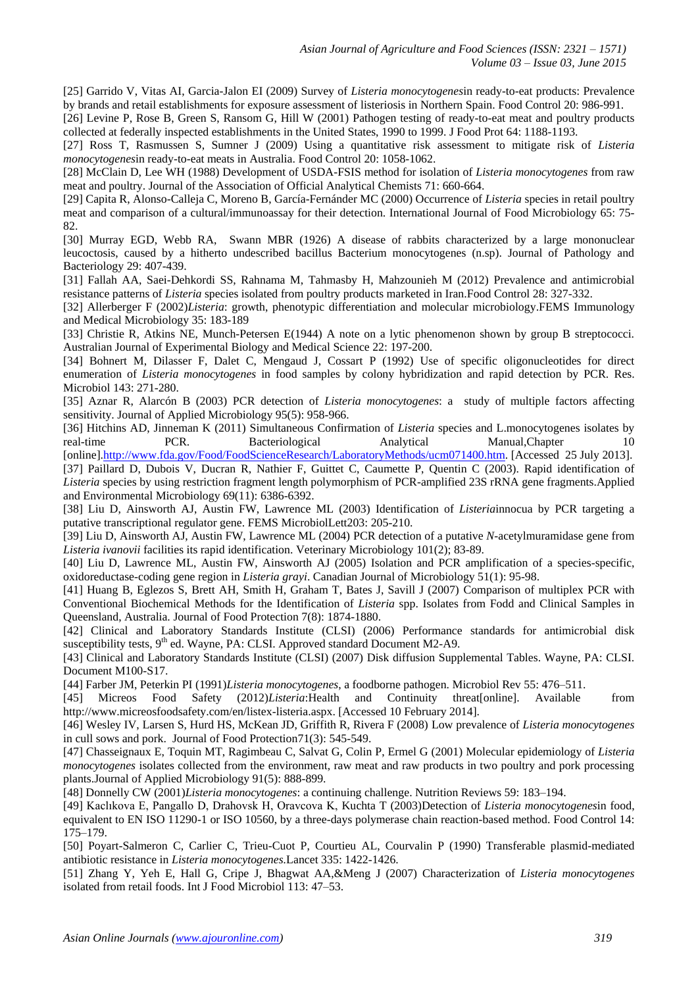[25] Garrido V, Vitas AI, Garcia-Jalon EI (2009) Survey of *Listeria monocytogenes*in ready-to-eat products: Prevalence by brands and retail establishments for exposure assessment of listeriosis in Northern Spain. Food Control 20: 986-991.

[26] Levine P, Rose B, Green S, Ransom G, Hill W (2001) Pathogen testing of ready-to-eat meat and poultry products collected at federally inspected establishments in the United States, 1990 to 1999. J Food Prot 64: 1188-1193.

[27] Ross T, Rasmussen S, Sumner J (2009) Using a quantitative risk assessment to mitigate risk of *Listeria monocytogenes*in ready-to-eat meats in Australia. Food Control 20: 1058-1062.

[28] McClain D, Lee WH (1988) Development of USDA-FSIS method for isolation of *Listeria monocytogenes* from raw meat and poultry. Journal of the Association of Official Analytical Chemists 71: 660-664.

[29] Capita R, Alonso-Calleja C, Moreno B, García-Fernánder MC (2000) Occurrence of *Listeria* species in retail poultry meat and comparison of a cultural/immunoassay for their detection. International Journal of Food Microbiology 65: 75- 82.

[30] Murray EGD, Webb RA, Swann MBR (1926) A disease of rabbits characterized by a large mononuclear leucoctosis, caused by a hitherto undescribed bacillus Bacterium monocytogenes (n.sp). Journal of Pathology and Bacteriology 29: 407-439.

[31] Fallah AA, Saei-Dehkordi SS, Rahnama M, Tahmasby H, Mahzounieh M (2012) Prevalence and antimicrobial resistance patterns of *Listeria* species isolated from poultry products marketed in Iran.Food Control 28: 327-332.

[32] Allerberger F (2002)*Listeria*: growth, phenotypic differentiation and molecular microbiology.FEMS Immunology and Medical Microbiology 35: 183-189

[33] Christie R, Atkins NE, Munch-Petersen E(1944) A note on a lytic phenomenon shown by group B streptococci. Australian Journal of Experimental Biology and Medical Science 22: 197-200.

[34] Bohnert M, Dilasser F, Dalet C, Mengaud J, Cossart P (1992) Use of specific oligonucleotides for direct enumeration of *Listeria monocytogenes* in food samples by colony hybridization and rapid detection by PCR. Res. Microbiol 143: 271-280.

[35] Aznar R, Alarcón B (2003) PCR detection of *Listeria monocytogenes*: a study of multiple factors affecting sensitivity. Journal of Applied Microbiology 95(5): 958-966.

[36] Hitchins AD, Jinneman K (2011) Simultaneous Confirmation of *Listeria* species and L.monocytogenes isolates by real-time PCR. Bacteriological Analytical Manual,Chapter 10 [online][.http://www.fda.gov/Food/FoodScienceResearch/LaboratoryMethods/ucm071400.htm.](http://www.fda.gov/Food/FoodScienceResearch/LaboratoryMethods/ucm071400.htm) [Accessed 25 July 2013].

[37] Paillard D, Dubois V, Ducran R, Nathier F, Guittet C, Caumette P, Quentin C (2003). Rapid identification of *Listeria* species by using restriction fragment length polymorphism of PCR-amplified 23S rRNA gene fragments.Applied and Environmental Microbiology 69(11): 6386-6392.

[38] Liu D, Ainsworth AJ, Austin FW, Lawrence ML (2003) Identification of *Listeria*innocua by PCR targeting a putative transcriptional regulator gene. FEMS MicrobiolLett203: 205-210.

[39] Liu D, Ainsworth AJ, Austin FW, Lawrence ML (2004) PCR detection of a putative *N*-acetylmuramidase gene from *Listeria ivanovii* facilities its rapid identification. Veterinary Microbiology 101(2); 83-89.

[40] Liu D, Lawrence ML, Austin FW, Ainsworth AJ (2005) Isolation and PCR amplification of a species-specific, oxidoreductase-coding gene region in *Listeria grayi*. Canadian Journal of Microbiology 51(1): 95-98.

[41] Huang B, Eglezos S, Brett AH, Smith H, Graham T, Bates J, Savill J (2007) Comparison of multiplex PCR with Conventional Biochemical Methods for the Identification of *Listeria* spp. Isolates from Fodd and Clinical Samples in Queensland, Australia. Journal of Food Protection 7(8): 1874-1880.

[42] Clinical and Laboratory Standards Institute (CLSI) (2006) Performance standards for antimicrobial disk susceptibility tests, 9<sup>th</sup> ed. Wayne, PA: CLSI. Approved standard Document M2-A9.

[43] Clinical and Laboratory Standards Institute (CLSI) (2007) Disk diffusion Supplemental Tables. Wayne, PA: CLSI. Document M100-S17.

[44] Farber JM, Peterkin PI (1991)*Listeria monocytogenes*, a foodborne pathogen. Microbiol Rev 55: 476–511.

[45] Micreos Food Safety (2012)*Listeria*:Health and Continuity threat[online]. Available from http://www.micreosfoodsafety.com/en/listex-listeria.aspx. [Accessed 10 February 2014].

[46] Wesley IV, Larsen S, Hurd HS, McKean JD, Griffith R, Rivera F (2008) Low prevalence of *Listeria monocytogenes* in cull sows and pork. Journal of Food Protection71(3): 545-549.

[47] Chasseignaux E, Toquin MT, Ragimbeau C, Salvat G, Colin P, Ermel G (2001) Molecular epidemiology of *Listeria monocytogenes* isolates collected from the environment, raw meat and raw products in two poultry and pork processing plants.Journal of Applied Microbiology 91(5): 888-899.

[48] Donnelly CW (2001)*Listeria monocytogenes*: a continuing challenge. Nutrition Reviews 59: 183–194.

[49] Kaclıkova E, Pangallo D, Drahovsk H, Oravcova K, Kuchta T (2003)Detection of *Listeria monocytogenes*in food, equivalent to EN ISO 11290-1 or ISO 10560, by a three-days polymerase chain reaction-based method. Food Control 14: 175–179.

[50] Poyart-Salmeron C, Carlier C, Trieu-Cuot P, Courtieu AL, Courvalin P (1990) Transferable plasmid-mediated antibiotic resistance in *Listeria monocytogenes.*Lancet 335: 1422-1426.

[51] Zhang Y, Yeh E, Hall G, Cripe J, Bhagwat AA,&Meng J (2007) Characterization of *Listeria monocytogenes* isolated from retail foods. Int J Food Microbiol 113: 47–53.